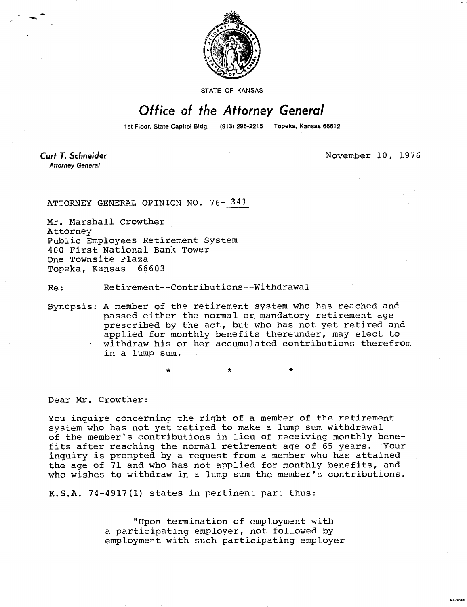

STATE OF KANSAS

## Office of the Attorney General

1st Floor, State Capitol Bldg. (913) 296-2215 Topeka, Kansas 66612

Curt T. Schneider **Attorney General** 

November 10, 1976

MI-1043

ATTORNEY GENERAL OPINION NO. 76- 341

Mr. Marshall Crowther Attorney Public Employees Retirement System 400 First National Bank Tower One Townsite Plaza Topeka, Kansas 66603

Re: Retirement--Contributions--Withdrawal

Synopsis: A member of the retirement system who has reached and passed either the normal or, mandatory retirement age prescribed by the act, but who has not yet retired and applied for monthly benefits thereunder, may elect to withdraw his or her accumulated contributions therefrom in a lump sum.

Dear Mr. Crowther:

You inquire concerning the right of a member of the retirement system who has not yet retired to make a lump sum withdrawal of the member's contributions in lieu of receiving monthly benefits after reaching the normal retirement age of 65 years. Your inquiry is prompted by a request from a member who has attained the age of 71 and who has not applied for monthly benefits, and who wishes to withdraw in a lump sum the member's contributions.

K.S.A. 74-4917(1) states in pertinent part thus:

"Upon termination of employment with a participating employer, not followed by employment with such participating employer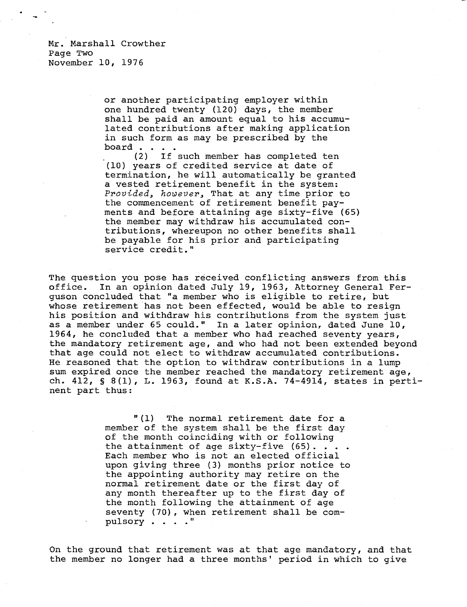or another participating employer within one hundred twenty (120) days, the member shall be paid an amount equal to his accumulated contributions after making application in such form as may be prescribed by the board . . .

(2) If such member has completed ten (10) years of credited service at date of termination, he will automatically be granted a vested retirement benefit in the system: Provided, however, That at any time prior to the commencement of retirement benefit payments and before attaining age sixty-five (65) the member may withdraw his accumulated contributions, whereupon no other benefits shall be payable for his prior and participating service credit."

The question you pose has received conflicting answers from this office. In an opinion dated July 19, 1963, Attorney General Ferguson concluded that "a member who is eligible to retire, but whose retirement has not been effected, would be able to resign his position and withdraw his contributions from the system just as a member under 65 could." In a later opinion, dated June 10, 1964, he concluded that a member who had reached seventy years, the mandatory retirement age, and who had not been extended beyond that age could not elect to withdraw accumulated contributions. He reasoned that the option to withdraw contributions in a lump sum expired once the member reached the mandatory retirement age, ch. 412, § 8(1), L. 1963, found at K.S.A. 74-4914, states in pertinent part thus:

> "(1) The normal retirement date for a member of the system shall be the first day of the month coinciding with or following the attainment of age sixty-five (65)... Each member who is not an elected official upon giving three (3) months prior notice to the appointing authority may retire on the normal retirement date or the first day of any month thereafter up to the first day of the month following the attainment of age seventy (70), when retirement shall be compulsory . . . ."

On the ground that retirement was at that age mandatory, and that the member no longer had a three months' period in which to give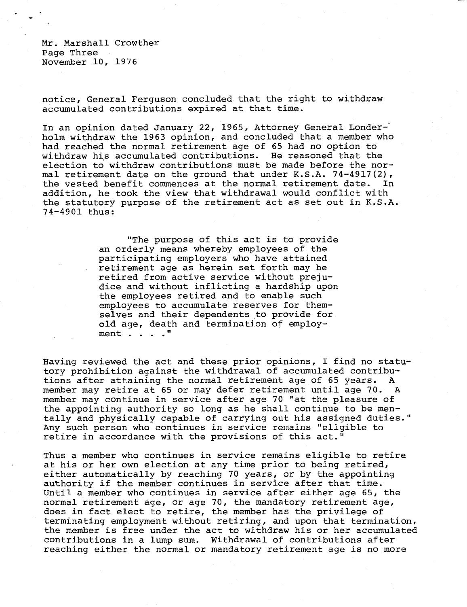Mr. Marshall Crowther Page Three November 10, 1976

notice, General Ferguson concluded that the right to withdraw accumulated contributions expired at that time.

In an opinion dated January 22, 1965, Attorney General Londerholm withdraw the 1963 opinion, and concluded that a member who had reached the normal retirement age of 65 had no option to withdraw his accumulated contributions. He reasoned that the election to withdraw contributions must be made before the normal retirement date on the ground that under K.S.A.  $74-4917(2)$ , the vested benefit commences at the normal retirement date. In addition, he took the view that withdrawal would conflict with the statutory purpose of the retirement act as set out in K.S.A. 74-4901 thus:

> "The purpose of this act is to provide an orderly means whereby employees of the participating employers who have attained retirement age as herein set forth may be retired from active service without prejudice and without inflicting a hardship upon the employees retired and to enable such employees to accumulate reserves for themselves and their dependents to provide for old age, death and termination of employment . . . ."

Having reviewed the act and these prior opinions, I find no statutory prohibition against the withdrawal of accumulated contributions after attaining the normal retirement age of 65 years. A member may retire at 65 or may defer retirement until age 70. A member may continue in service after age 70 "at the pleasure of the appointing authority so long as he shall continue to be mentally and physically capable of carrying out his assigned duties." Any such person who continues in service remains "eligible to retire in accordance with the provisions of this act."

Thus a member who continues in service remains eligible to retire at his or her own election at any time prior to being retired, either automatically by reaching 70 years, or by the appointing authority if the member continues in service after that time. Until a member who continues in service after either age 65, the normal retirement age, or age 70, the mandatory retirement age, does in fact elect to retire, the member has the privilege of terminating employment without retiring, and upon that termination, the member is free under the act to withdraw his or her accumulated contributions in a lump sum. Withdrawal of contributions after reaching either the normal or mandatory retirement age is no more